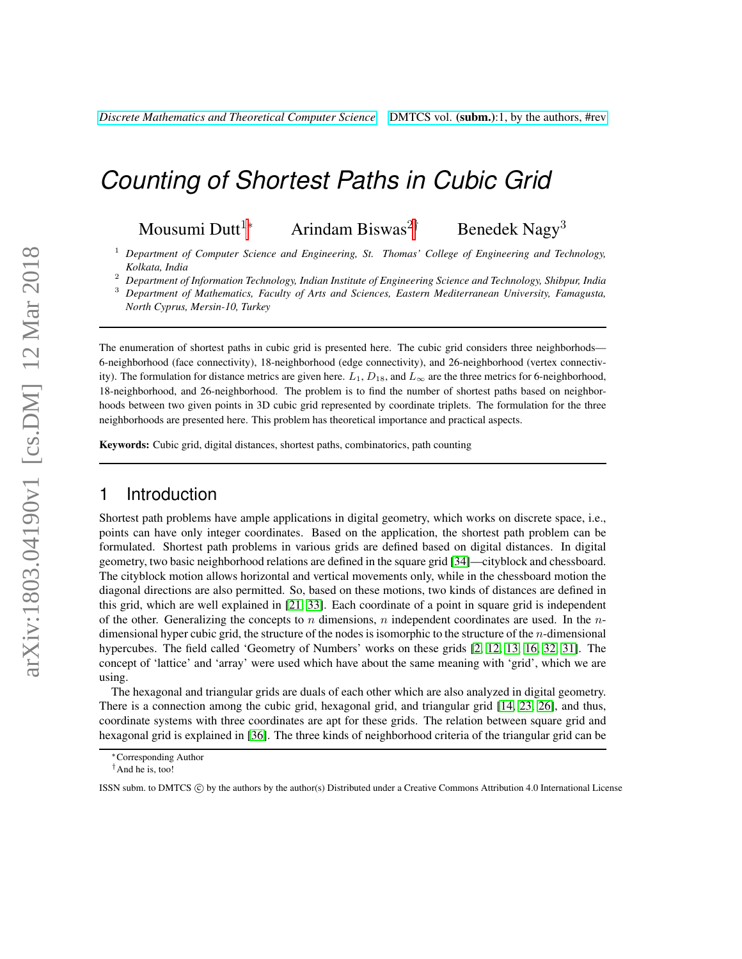# *Counting of Shortest Paths in Cubic Grid*

Mousumi Dutt<sup>1∗</sup> Arindam Biswas<sup>2†</sup> Benedek Nagy<sup>3</sup>

<sup>1</sup> *Department of Computer Science and Engineering, St. Thomas' College of Engineering and Technology, Kolkata, India*

<sup>2</sup> *Department of Information Technology, Indian Institute of Engineering Science and Technology, Shibpur, India*

<sup>3</sup> *Department of Mathematics, Faculty of Arts and Sciences, Eastern Mediterranean University, Famagusta, North Cyprus, Mersin-10, Turkey*

The enumeration of shortest paths in cubic grid is presented here. The cubic grid considers three neighborhods— 6-neighborhood (face connectivity), 18-neighborhood (edge connectivity), and 26-neighborhood (vertex connectivity). The formulation for distance metrics are given here.  $L_1$ ,  $D_{18}$ , and  $L_{\infty}$  are the three metrics for 6-neighborhood, 18-neighborhood, and 26-neighborhood. The problem is to find the number of shortest paths based on neighborhoods between two given points in 3D cubic grid represented by coordinate triplets. The formulation for the three neighborhoods are presented here. This problem has theoretical importance and practical aspects.

Keywords: Cubic grid, digital distances, shortest paths, combinatorics, path counting

# 1 Introduction

Shortest path problems have ample applications in digital geometry, which works on discrete space, i.e., points can have only integer coordinates. Based on the application, the shortest path problem can be formulated. Shortest path problems in various grids are defined based on digital distances. In digital geometry, two basic neighborhood relations are defined in the square grid [\[34\]](#page-14-0)—cityblock and chessboard. The cityblock motion allows horizontal and vertical movements only, while in the chessboard motion the diagonal directions are also permitted. So, based on these motions, two kinds of distances are defined in this grid, which are well explained in [\[21,](#page-13-0) [33\]](#page-13-1). Each coordinate of a point in square grid is independent of the other. Generalizing the concepts to n dimensions, n independent coordinates are used. In the  $n$ dimensional hyper cubic grid, the structure of the nodes is isomorphic to the structure of the  $n$ -dimensional hypercubes. The field called 'Geometry of Numbers' works on these grids [\[2,](#page-11-0) [12,](#page-12-0) [13,](#page-12-1) [16,](#page-12-2) [32,](#page-13-2) [31\]](#page-13-3). The concept of 'lattice' and 'array' were used which have about the same meaning with 'grid', which we are using.

The hexagonal and triangular grids are duals of each other which are also analyzed in digital geometry. There is a connection among the cubic grid, hexagonal grid, and triangular grid [\[14,](#page-12-3) [23,](#page-13-4) [26\]](#page-13-5), and thus, coordinate systems with three coordinates are apt for these grids. The relation between square grid and hexagonal grid is explained in [\[36\]](#page-14-1). The three kinds of neighborhood criteria of the triangular grid can be

<sup>∗</sup>Corresponding Author

<sup>†</sup>And he is, too!

ISSN subm. to DMTCS  $\circled{c}$  by the authors by the author(s) Distributed under a Creative Commons Attribution 4.0 International License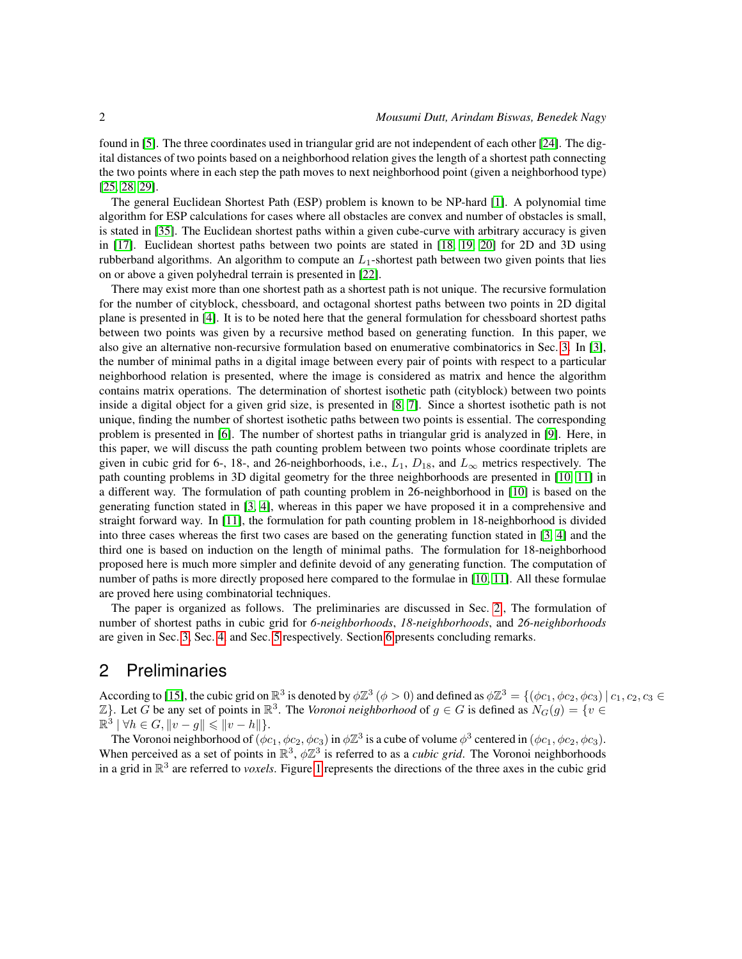found in [\[5\]](#page-11-1). The three coordinates used in triangular grid are not independent of each other [\[24\]](#page-13-6). The digital distances of two points based on a neighborhood relation gives the length of a shortest path connecting the two points where in each step the path moves to next neighborhood point (given a neighborhood type) [\[25,](#page-13-7) [28,](#page-13-8) [29\]](#page-13-9).

The general Euclidean Shortest Path (ESP) problem is known to be NP-hard [\[1\]](#page-11-2). A polynomial time algorithm for ESP calculations for cases where all obstacles are convex and number of obstacles is small, is stated in [\[35\]](#page-14-2). The Euclidean shortest paths within a given cube-curve with arbitrary accuracy is given in [\[17\]](#page-12-4). Euclidean shortest paths between two points are stated in [\[18,](#page-12-5) [19,](#page-12-6) [20\]](#page-13-10) for 2D and 3D using rubberband algorithms. An algorithm to compute an  $L_1$ -shortest path between two given points that lies on or above a given polyhedral terrain is presented in [\[22\]](#page-13-11).

There may exist more than one shortest path as a shortest path is not unique. The recursive formulation for the number of cityblock, chessboard, and octagonal shortest paths between two points in 2D digital plane is presented in [\[4\]](#page-11-3). It is to be noted here that the general formulation for chessboard shortest paths between two points was given by a recursive method based on generating function. In this paper, we also give an alternative non-recursive formulation based on enumerative combinatorics in Sec. [3.](#page-3-0) In [\[3\]](#page-11-4), the number of minimal paths in a digital image between every pair of points with respect to a particular neighborhood relation is presented, where the image is considered as matrix and hence the algorithm contains matrix operations. The determination of shortest isothetic path (cityblock) between two points inside a digital object for a given grid size, is presented in [\[8,](#page-12-7) [7\]](#page-12-8). Since a shortest isothetic path is not unique, finding the number of shortest isothetic paths between two points is essential. The corresponding problem is presented in [\[6\]](#page-12-9). The number of shortest paths in triangular grid is analyzed in [\[9\]](#page-12-10). Here, in this paper, we will discuss the path counting problem between two points whose coordinate triplets are given in cubic grid for 6-, 18-, and 26-neighborhoods, i.e.,  $L_1$ ,  $D_{18}$ , and  $L_{\infty}$  metrics respectively. The path counting problems in 3D digital geometry for the three neighborhoods are presented in [\[10,](#page-12-11) [11\]](#page-12-12) in a different way. The formulation of path counting problem in 26-neighborhood in [\[10\]](#page-12-11) is based on the generating function stated in [\[3,](#page-11-4) [4\]](#page-11-3), whereas in this paper we have proposed it in a comprehensive and straight forward way. In [\[11\]](#page-12-12), the formulation for path counting problem in 18-neighborhood is divided into three cases whereas the first two cases are based on the generating function stated in [\[3,](#page-11-4) [4\]](#page-11-3) and the third one is based on induction on the length of minimal paths. The formulation for 18-neighborhood proposed here is much more simpler and definite devoid of any generating function. The computation of number of paths is more directly proposed here compared to the formulae in [\[10,](#page-12-11) [11\]](#page-12-12). All these formulae are proved here using combinatorial techniques.

The paper is organized as follows. The preliminaries are discussed in Sec. [2.](#page-1-0), The formulation of number of shortest paths in cubic grid for *6-neighborhoods*, *18-neighborhoods*, and *26-neighborhoods* are given in Sec. [3,](#page-3-0) Sec. [4,](#page-4-0) and Sec. [5](#page-7-0) respectively. Section [6](#page-10-0) presents concluding remarks.

### <span id="page-1-0"></span>2 Preliminaries

According to [\[15\]](#page-12-13), the cubic grid on  $\mathbb{R}^3$  is denoted by  $\phi \mathbb{Z}^3$  ( $\phi > 0$ ) and defined as  $\phi \mathbb{Z}^3 = \{ (\phi c_1, \phi c_2, \phi c_3) | c_1, c_2, c_3 \in \mathbb{R} \}$  $\mathbb{Z}$ }. Let G be any set of points in  $\mathbb{R}^3$ . The *Voronoi neighborhood* of  $g \in G$  is defined as  $N_G(g) = \{v \in G : S \in G\}$  $\mathbb{R}^3 \mid \forall h \in G, \|v - g\| \leqslant \|v - h\|$ .

The Voronoi neighborhood of  $(\phi c_1, \phi c_2, \phi c_3)$  in  $\phi \mathbb{Z}^3$  is a cube of volume  $\phi^3$  centered in  $(\phi c_1, \phi c_2, \phi c_3)$ . When perceived as a set of points in  $\mathbb{R}^3$ ,  $\phi \mathbb{Z}^3$  is referred to as a *cubic grid*. The Voronoi neighborhoods in a grid in R 3 are referred to *voxels*. Figure [1](#page-2-0) represents the directions of the three axes in the cubic grid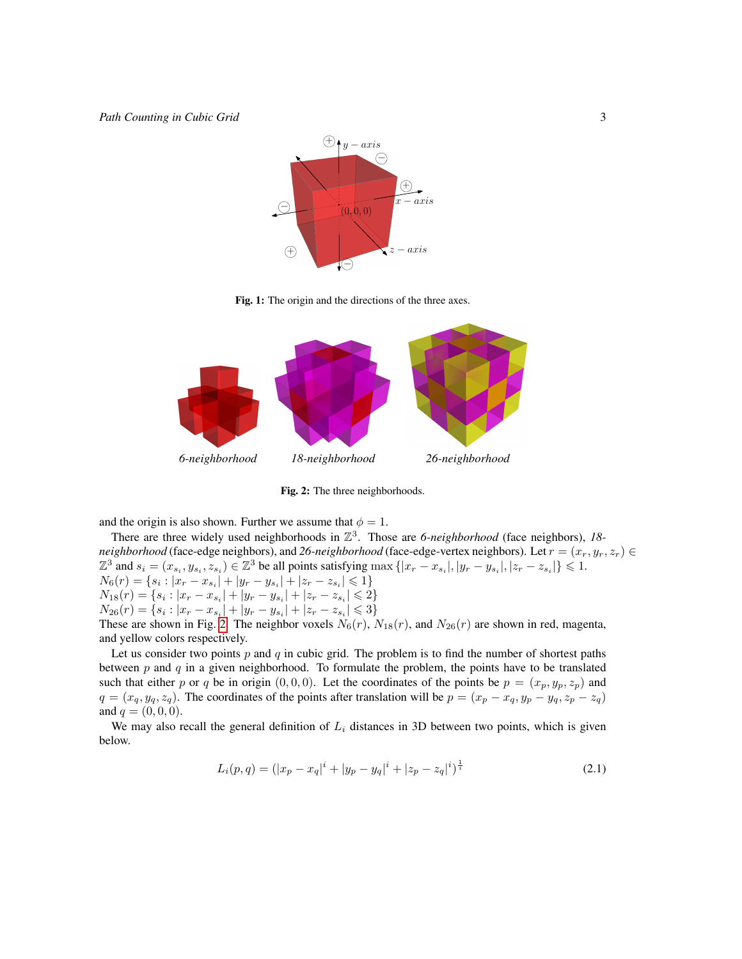

<span id="page-2-0"></span>Fig. 1: The origin and the directions of the three axes.



Fig. 2: The three neighborhoods.

and the origin is also shown. Further we assume that  $\phi = 1$ .

There are three widely used neighborhoods in  $\mathbb{Z}^3$ . Those are 6-neighborhood (face neighbors), 18*neighborhood* (face-edge neighbors), and 26-neighborhood (face-edge-vertex neighbors). Let  $r = (x_r, y_r, z_r) \in$  $\mathbb{Z}^3$  and  $s_i = (x_{s_i}, y_{s_i}, z_{s_i}) \in \mathbb{Z}^3$  be all points satisfying  $\max\{|x_r - x_{s_i}|, |y_r - y_{s_i}|, |z_r - z_{s_i}|\} \leq 1$ .  $N_6(r) = \{s_i: |x_r - x_{s_i}| + |y_r - y_{s_i}| + |z_r - z_{s_i}| \leqslant 1\}$  $N_{18}(r) = \{s_i : |x_r - x_{s_i}| + |y_r - y_{s_i}| + |z_r - z_{s_i}| \leq 2\}$  $N_{26}(r) = \{s_i : |x_r - x_{s_i}| + |y_r - y_{s_i}| + |z_r - z_{s_i}| \leq 3\}$ These are shown in Fig. [2.](#page-2-0) The neighbor voxels  $N_6(r)$ ,  $N_{18}(r)$ , and  $N_{26}(r)$  are shown in red, magenta, and yellow colors respectively.

Let us consider two points  $p$  and  $q$  in cubic grid. The problem is to find the number of shortest paths between  $p$  and  $q$  in a given neighborhood. To formulate the problem, the points have to be translated such that either p or q be in origin  $(0, 0, 0)$ . Let the coordinates of the points be  $p = (x_p, y_p, z_p)$  and  $q = (x_q, y_q, z_q)$ . The coordinates of the points after translation will be  $p = (x_p - x_q, y_p - y_q, z_p - z_q)$ and  $q = (0, 0, 0)$ .

We may also recall the general definition of  $L<sub>i</sub>$  distances in 3D between two points, which is given below.

$$
L_i(p,q) = (|x_p - x_q|^i + |y_p - y_q|^i + |z_p - z_q|^i)^{\frac{1}{i}} \tag{2.1}
$$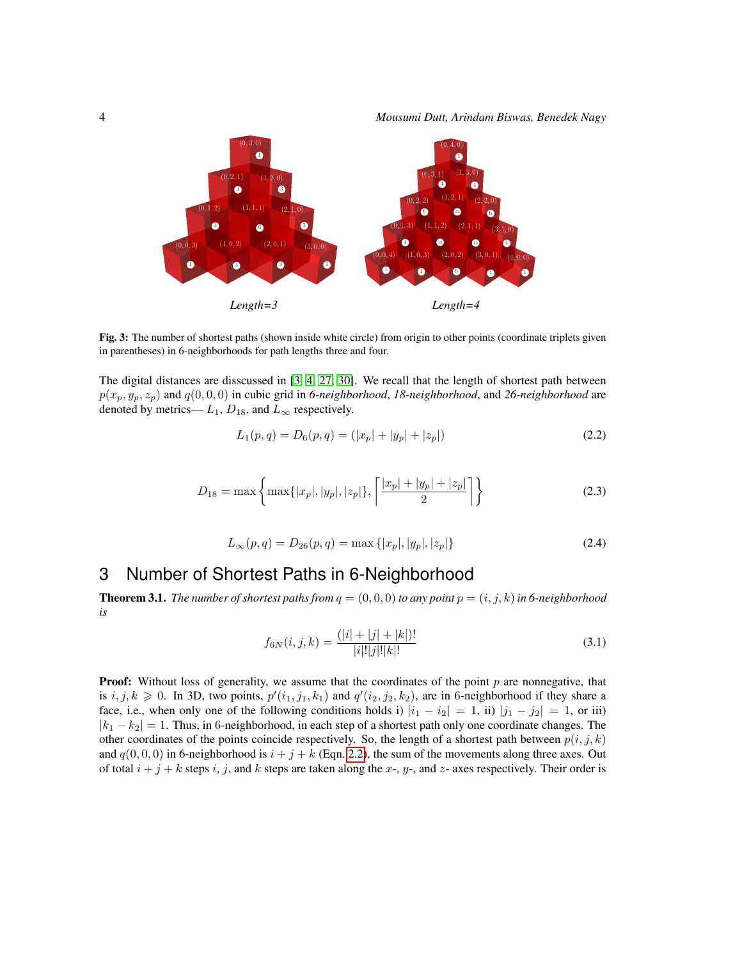

Fig. 3: The number of shortest paths (shown inside white circle) from origin to other points (coordinate triplets given in parentheses) in 6-neighborhoods for path lengths three and four.

The digital distances are disscussed in [\[3,](#page-11-4) [4,](#page-11-3) [27,](#page-13-12) [30\]](#page-13-13). We recall that the length of shortest path between  $p(x_p, y_p, z_p)$  and  $q(0, 0, 0)$  in cubic grid in 6-neighborhood, 18-neighborhood, and 26-neighborhood are denoted by metrics—  $L_1$ ,  $D_{18}$ , and  $L_{\infty}$  respectively.

<span id="page-3-1"></span>
$$
L_1(p,q) = D_6(p,q) = (|x_p| + |y_p| + |z_p|)
$$
\n(2.2)

<span id="page-3-2"></span>
$$
D_{18} = \max\left\{\max\{|x_p|, |y_p|, |z_p|\}, \left\lceil \frac{|x_p| + |y_p| + |z_p|}{2} \right\rceil \right\}
$$
\n(2.3)

<span id="page-3-3"></span>
$$
L_{\infty}(p,q) = D_{26}(p,q) = \max\{|x_p|, |y_p|, |z_p|\}\tag{2.4}
$$

# <span id="page-3-0"></span>3 Number of Shortest Paths in 6-Neighborhood

**Theorem 3.1.** *The number of shortest paths from*  $q = (0, 0, 0)$  *to any point*  $p = (i, j, k)$  *in 6-neighborhood is*

$$
f_{6N}(i,j,k) = \frac{(|i| + |j| + |k|)!}{|i|!|j|!|k|!}
$$
\n(3.1)

**Proof:** Without loss of generality, we assume that the coordinates of the point  $p$  are nonnegative, that is  $i, j, k \geq 0$ . In 3D, two points,  $p'(i_1, j_1, k_1)$  and  $q'(i_2, j_2, k_2)$ , are in 6-neighborhood if they share a face, i.e., when only one of the following conditions holds i)  $|i_1 - i_2| = 1$ , ii)  $|j_1 - j_2| = 1$ , or iii)  $|k_1 - k_2| = 1$ . Thus, in 6-neighborhood, in each step of a shortest path only one coordinate changes. The other coordinates of the points coincide respectively. So, the length of a shortest path between  $p(i, j, k)$ and  $q(0, 0, 0)$  in 6-neighborhood is  $i + j + k$  (Eqn. [2.2\)](#page-3-1), the sum of the movements along three axes. Out of total  $i + j + k$  steps i, j, and k steps are taken along the x-, y-, and z- axes respectively. Their order is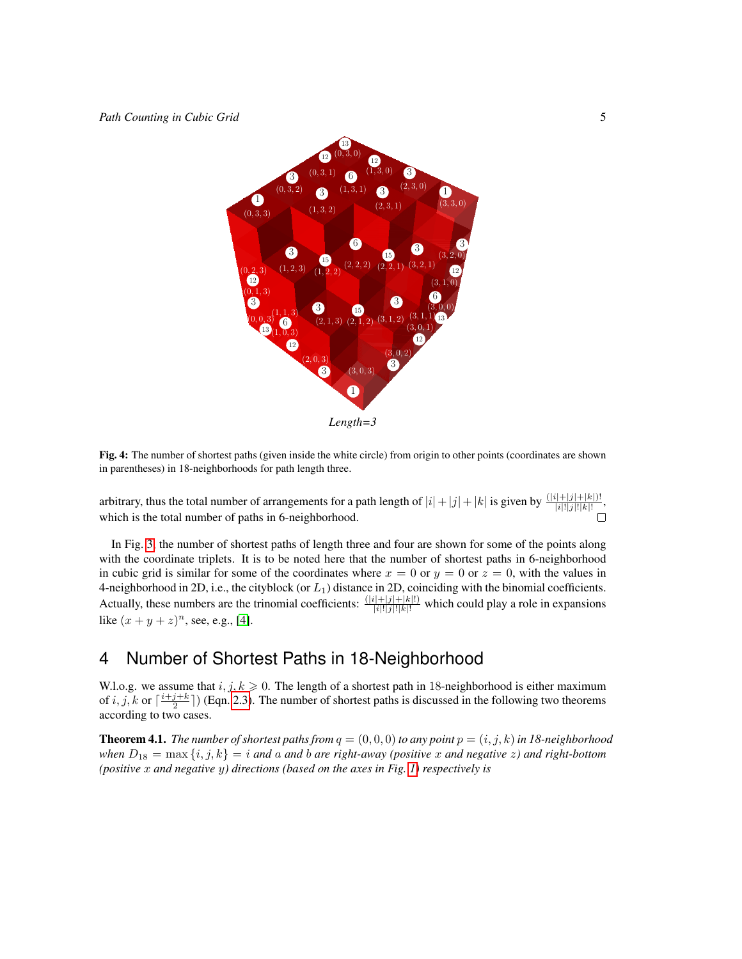

<span id="page-4-1"></span>Fig. 4: The number of shortest paths (given inside the white circle) from origin to other points (coordinates are shown in parentheses) in 18-neighborhoods for path length three.

arbitrary, thus the total number of arrangements for a path length of  $|i| + |j| + |k|$  is given by  $\frac{(|i| + |j| + |k|)}{|i|!|j|!|k|!}$ , which is the total number of paths in 6-neighborhood.

In Fig. [3,](#page-3-0) the number of shortest paths of length three and four are shown for some of the points along with the coordinate triplets. It is to be noted here that the number of shortest paths in 6-neighborhood in cubic grid is similar for some of the coordinates where  $x = 0$  or  $y = 0$  or  $z = 0$ , with the values in 4-neighborhood in 2D, i.e., the cityblock (or  $L_1$ ) distance in 2D, coinciding with the binomial coefficients. Actually, these numbers are the trinomial coefficients:  $\frac{(|i|+|j|+|k|!)}{|i|!|j|!|k|!}$  which could play a role in expansions like  $(x + y + z)^n$ , see, e.g., [\[4\]](#page-11-3).

# <span id="page-4-0"></span>4 Number of Shortest Paths in 18-Neighborhood

W.l.o.g. we assume that  $i, j, k \geq 0$ . The length of a shortest path in 18-neighborhood is either maximum of i, j, k or  $\lceil \frac{i+j+k}{2} \rceil$ ) (Eqn. [2.3\)](#page-3-2). The number of shortest paths is discussed in the following two theorems according to two cases.

**Theorem 4.1.** *The number of shortest paths from*  $q = (0, 0, 0)$  *to any point*  $p = (i, j, k)$  *in 18-neighborhood when*  $D_{18} = \max\{i, j, k\} = i$  *and* a *and b* are right-away (positive x and negative z) and right-bottom *(positive* x *and negative* y*) directions (based on the axes in Fig. [1\)](#page-2-0) respectively is*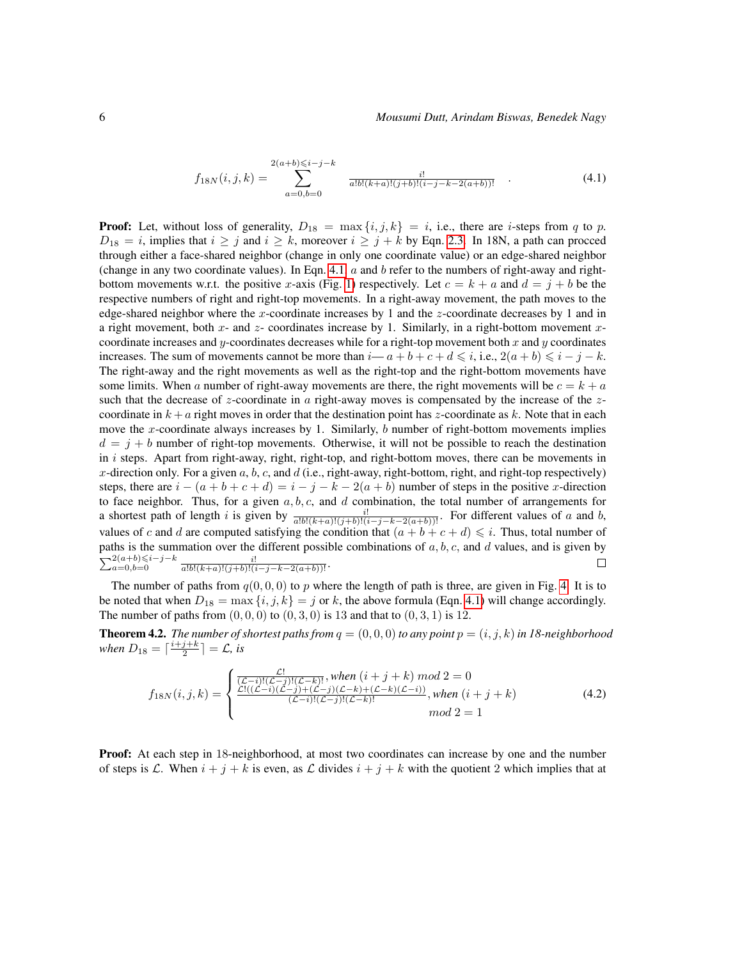<span id="page-5-0"></span>
$$
f_{18N}(i,j,k) = \sum_{a=0,b=0}^{2(a+b)\leq i-j-k} \frac{i!}{a!b!(k+a)!(j+b)!(i-j-k-2(a+b))!} . \tag{4.1}
$$

**Proof:** Let, without loss of generality,  $D_{18} = \max\{i, j, k\} = i$ , i.e., there are *i*-steps from q to p.  $D_{18} = i$ , implies that  $i \ge j$  and  $i \ge k$ , moreover  $i \ge j + k$  by Eqn. [2.3.](#page-3-2) In 18N, a path can procced through either a face-shared neighbor (change in only one coordinate value) or an edge-shared neighbor (change in any two coordinate values). In Eqn. [4.1,](#page-5-0)  $a$  and  $b$  refer to the numbers of right-away and right-bottom movements w.r.t. the positive x-axis (Fig. [1\)](#page-2-0) respectively. Let  $c = k + a$  and  $d = j + b$  be the respective numbers of right and right-top movements. In a right-away movement, the path moves to the edge-shared neighbor where the x-coordinate increases by 1 and the z-coordinate decreases by 1 and in a right movement, both  $x$ - and  $z$ - coordinates increase by 1. Similarly, in a right-bottom movement  $x$ coordinate increases and y-coordinates decreases while for a right-top movement both x and y coordinates increases. The sum of movements cannot be more than  $i-a+b+c+d \leq i$ , i.e.,  $2(a+b) \leq i-j-k$ . The right-away and the right movements as well as the right-top and the right-bottom movements have some limits. When a number of right-away movements are there, the right movements will be  $c = k + a$ such that the decrease of z-coordinate in  $\alpha$  right-away moves is compensated by the increase of the zcoordinate in  $k + a$  right moves in order that the destination point has z-coordinate as k. Note that in each move the x-coordinate always increases by 1. Similarly,  $b$  number of right-bottom movements implies  $d = j + b$  number of right-top movements. Otherwise, it will not be possible to reach the destination in  $i$  steps. Apart from right-away, right, right-top, and right-bottom moves, there can be movements in x-direction only. For a given  $a, b, c$ , and  $d$  (i.e., right-away, right-bottom, right, and right-top respectively) steps, there are  $i - (a + b + c + d) = i - j - k - 2(a + b)$  number of steps in the positive x-direction to face neighbor. Thus, for a given  $a, b, c$ , and d combination, the total number of arrangements for a shortest path of length i is given by  $\frac{i!}{a!b!(k+a)!(j+b)!(i-j-k-2(a+b))!}$ . For different values of a and b, values of c and d are computed satisfying the condition that  $(a + b + c + d) \leq i$ . Thus, total number of paths is the summation over the different possible combinations of  $a, b, c$ , and  $d$  values, and is given by  $\sum_{a=0,b=0}^{2(a+b)\leq i-j-k}$  $\frac{i!}{a!b!(k+a)!(j+b)!(i-j-k-2(a+b))!}$ .  $\Box$ 

The number of paths from  $q(0, 0, 0)$  to p where the length of path is three, are given in Fig. [4.](#page-4-1) It is to be noted that when  $D_{18} = \max\{i, j, k\} = j$  or k, the above formula (Eqn. [4.1\)](#page-5-0) will change accordingly. The number of paths from  $(0, 0, 0)$  to  $(0, 3, 0)$  is 13 and that to  $(0, 3, 1)$  is 12.

**Theorem 4.2.** *The number of shortest paths from*  $q = (0, 0, 0)$  *to any point*  $p = (i, j, k)$  *in 18-neighborhood when*  $D_{18} = \lceil \frac{i+j+k}{2} \rceil = \mathcal{L}$ , is

<span id="page-5-1"></span>
$$
f_{18N}(i,j,k) = \begin{cases} \frac{\mathcal{L}!}{(\mathcal{L}-i)!(\mathcal{L}-j)!(\mathcal{L}-k)!}, when (i+j+k) \mod 2 = 0\\ \frac{\mathcal{L}!((\mathcal{L}-i)(\mathcal{L}-j)+(\mathcal{L}-j)(\mathcal{L}-k)+(\mathcal{L}-k)(\mathcal{L}-i))}{(\mathcal{L}-i)!(\mathcal{L}-j)!(\mathcal{L}-k)!}, when (i+j+k)\\ \qquad \qquad \mod 2 = 1 \end{cases}
$$
(4.2)

**Proof:** At each step in 18-neighborhood, at most two coordinates can increase by one and the number of steps is L. When  $i + j + k$  is even, as L divides  $i + j + k$  with the quotient 2 which implies that at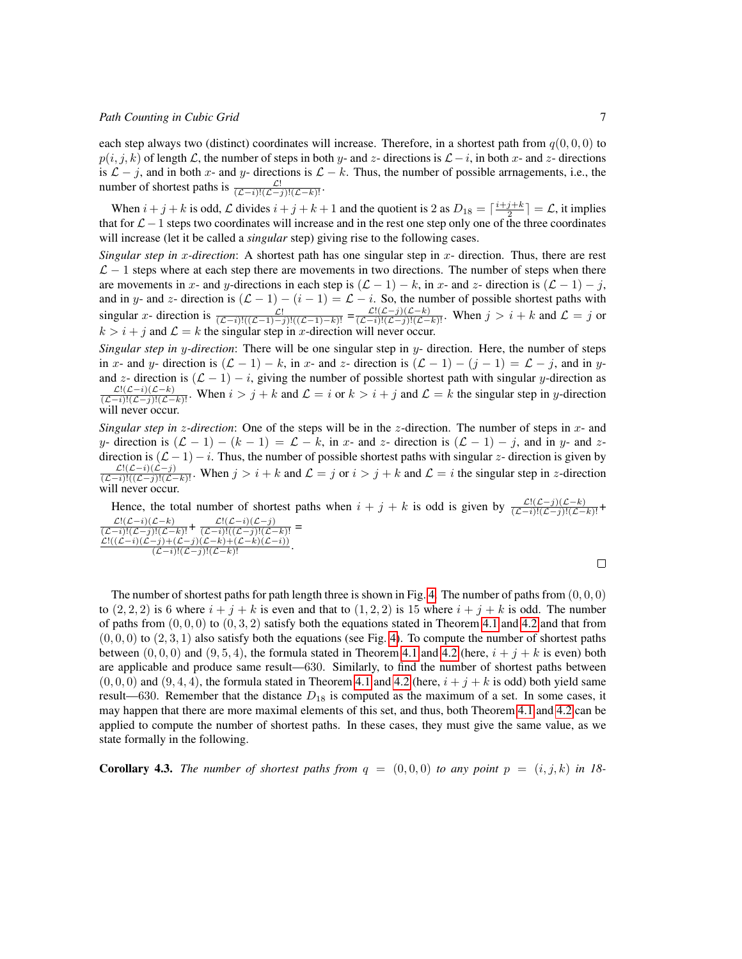#### *Path Counting in Cubic Grid* 7

each step always two (distinct) coordinates will increase. Therefore, in a shortest path from  $q(0, 0, 0)$  to  $p(i, j, k)$  of length L, the number of steps in both y- and z- directions is  $\mathcal{L} - i$ , in both x- and z- directions is  $\mathcal{L} - j$ , and in both x- and y- directions is  $\mathcal{L} - k$ . Thus, the number of possible arrnagements, i.e., the number of shortest paths is  $\frac{\mathcal{L}!}{(\mathcal{L}-i)!(\mathcal{L}-j)!(\mathcal{L}-k)!}$ .

When  $i + j + k$  is odd, L divides  $i + j + k + 1$  and the quotient is 2 as  $D_{18} = \lceil \frac{i+j+k}{2} \rceil = \mathcal{L}$ , it implies that for  $\mathcal{L}$  − 1 steps two coordinates will increase and in the rest one step only one of the three coordinates will increase (let it be called a *singular* step) giving rise to the following cases.

*Singular step in x-direction*: A shortest path has one singular step in x- direction. Thus, there are rest  $\mathcal{L} - 1$  steps where at each step there are movements in two directions. The number of steps when there are movements in x- and y-directions in each step is  $(L - 1) - k$ , in x- and z- direction is  $(L - 1) - j$ , and in y- and z- direction is  $(L - 1) - (i - 1) = L - i$ . So, the number of possible shortest paths with singular x- direction is  $\frac{\mathcal{L}!}{(\mathcal{L}-i)!((\mathcal{L}-1)-i)!((\mathcal{L}-1)-k)!]} = \frac{\mathcal{L}!((\mathcal{L}-j)(\mathcal{L}-k))}{(\mathcal{L}-i)!((\mathcal{L}-j)!((\mathcal{L}-k)!)}$ . When  $j > i + k$  and  $\mathcal{L} = j$  or  $k > i + j$  and  $\mathcal{L} = k$  the singular step in *x*-direction will never occur.

*Singular step in* y*-direction*: There will be one singular step in y- direction. Here, the number of steps in x- and y- direction is  $(\mathcal{L} - 1) - k$ , in x- and z- direction is  $(\mathcal{L} - 1) - (j - 1) = \mathcal{L} - j$ , and in yand z- direction is  $(L - 1) - i$ , giving the number of possible shortest path with singular y-direction as  $\frac{\mathcal{L}!(\mathcal{L}-i)(\mathcal{L}-k)}{(\mathcal{L}-i)!(\mathcal{L}-j)!(\mathcal{L}-k)!}$ . When  $i > j + k$  and  $\mathcal{L} = i$  or  $k > i + j$  and  $\mathcal{L} = k$  the singular step in y-direction will never occur.

*Singular step in z-direction*: One of the steps will be in the z-direction. The number of steps in x- and y- direction is  $(L-1) - (k-1) = L - k$ , in x- and z- direction is  $(L-1) - j$ , and in y- and zdirection is  $(L-1) - i$ . Thus, the number of possible shortest paths with singular z- direction is given by  $\frac{\mathcal{L}!(\mathcal{L}-i)(\mathcal{L}-j)}{(\mathcal{L}-i)!((\mathcal{L}-j)!)(\mathcal{L}-k)!}$ . When  $j > i + k$  and  $\mathcal{L} = j$  or  $i > j + k$  and  $\mathcal{L} = i$  the singular step in *z*-direction will never occur.

Hence, the total number of shortest paths when  $i + j + k$  is odd is given by  $\frac{\mathcal{L}!(\mathcal{L}-j)(\mathcal{L}-k)}{(\mathcal{L}-i)!(\mathcal{L}-j)!(\mathcal{L}-k)!}+$  $\frac{\mathcal{L}!(\mathcal{L}-i)(\mathcal{L}-k)}{(\mathcal{L}-i)!(\mathcal{L}-j)!(\mathcal{L}-k)!} + \frac{\mathcal{L}!(\mathcal{L}-i)(\mathcal{L}-j)}{(\mathcal{L}-i)!(\mathcal{L}-j)!(\mathcal{L}-k)!} = \ \frac{\mathcal{L}!(\mathcal{L}-i)(\mathcal{L}-j)(\mathcal{L}-k) + (\mathcal{L}-k)}{(\mathcal{L}-i)!(\mathcal{L}-j)!(\mathcal{L}-k)!}.$ 

The number of shortest paths for path length three is shown in Fig. [4.](#page-4-1) The number of paths from  $(0, 0, 0)$ to  $(2, 2, 2)$  is 6 where  $i + j + k$  is even and that to  $(1, 2, 2)$  is 15 where  $i + j + k$  is odd. The number of paths from  $(0, 0, 0)$  to  $(0, 3, 2)$  satisfy both the equations stated in Theorem [4.1](#page-5-0) and [4.2](#page-5-1) and that from  $(0, 0, 0)$  to  $(2, 3, 1)$  also satisfy both the equations (see Fig. [4\)](#page-4-1). To compute the number of shortest paths between  $(0, 0, 0)$  and  $(9, 5, 4)$ , the formula stated in Theorem [4.1](#page-5-0) and [4.2](#page-5-1) (here,  $i + j + k$  is even) both are applicable and produce same result—630. Similarly, to find the number of shortest paths between  $(0, 0, 0)$  and  $(9, 4, 4)$ , the formula stated in Theorem [4.1](#page-5-0) and [4.2](#page-5-1) (here,  $i + j + k$  is odd) both yield same result—630. Remember that the distance  $D_{18}$  is computed as the maximum of a set. In some cases, it may happen that there are more maximal elements of this set, and thus, both Theorem [4.1](#page-5-0) and [4.2](#page-5-1) can be applied to compute the number of shortest paths. In these cases, they must give the same value, as we state formally in the following.

**Corollary 4.3.** The number of shortest paths from  $q = (0, 0, 0)$  to any point  $p = (i, j, k)$  in 18-

 $\Box$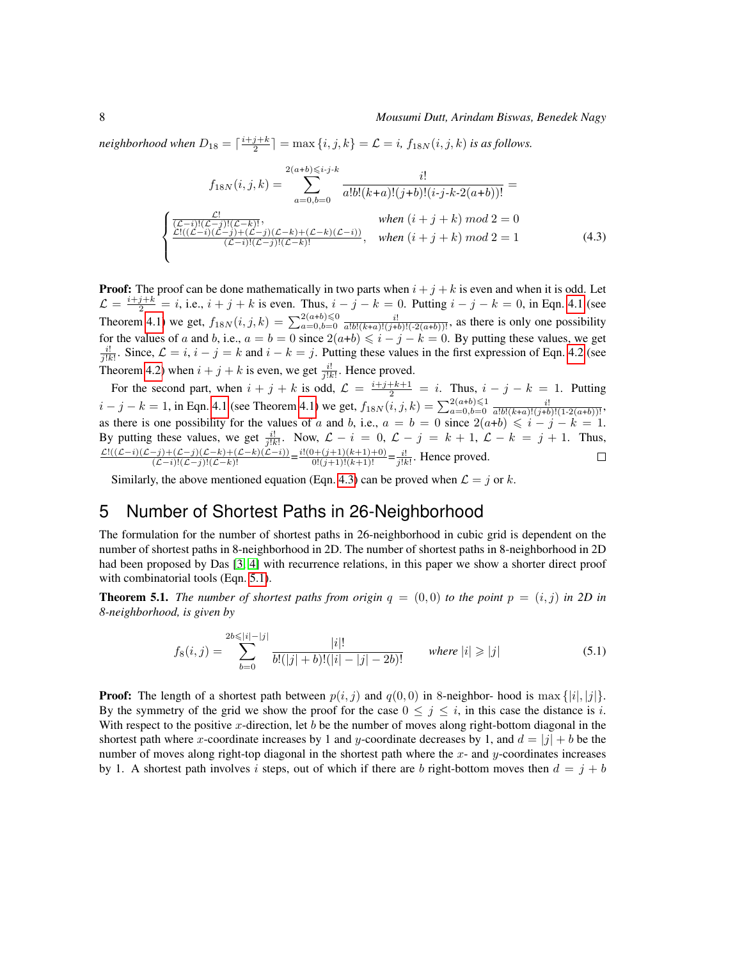neighborhood when  $D_{18} = \lceil \frac{i+j+k}{2} \rceil = \max\{i, j, k\} = \mathcal{L} = i$ ,  $f_{18N}(i, j, k)$  is as follows.

<span id="page-7-1"></span>
$$
f_{18N}(i,j,k) = \sum_{a=0,b=0}^{2(a+b)\leq i\cdot j\cdot k} \frac{i!}{a!b!(k+a)!(j+b)!(i\cdot j\cdot k\cdot 2(a+b))!} =
$$
  

$$
\begin{cases} \frac{C}{(\mathcal{L}-i)!(\mathcal{L}-j)!(\mathcal{L}-k)!}, & when (i+j+k) \mod 2 = 0\\ \frac{\mathcal{L}!((\mathcal{L}-i)(\mathcal{L}-j)+(\mathcal{L}-j)(\mathcal{L}-k)+(\mathcal{L}-k)(\mathcal{L}-i))}{(\mathcal{L}-i)!(\mathcal{L}-j)!(\mathcal{L}-k)!}, & when (i+j+k) \mod 2 = 1\\ \end{cases}
$$
(4.3)

**Proof:** The proof can be done mathematically in two parts when  $i + j + k$  is even and when it is odd. Let  $\mathcal{L} = \frac{i+j+k}{2} = i$ , i.e.,  $i + j + k$  is even. Thus,  $i - j - k = 0$ . Putting  $i - j - k = 0$ , in Eqn. [4.1](#page-5-0) (see Theorem [4.1\)](#page-5-0) we get,  $f_{18N}(i, j, k) = \sum_{a=0, b=0}^{2(a+b) \le 0} \frac{i!}{a!b!(k+a)!(j+b)!(-2(a+b))!}$ , as there is only one possibility for the values of a and b, i.e.,  $a = b = 0$  since  $2(a+b) \leq i - j - k = 0$ . By putting these values, we get  $\frac{i!}{|k|}$ . Since,  $\mathcal{L} = i$ ,  $i - j = k$  and  $i - k = j$ . Putting these values in the first expression of Eqn. [4.2](#page-5-1) (see Theorem [4.2\)](#page-5-1) when  $i + j + k$  is even, we get  $\frac{i!}{j!k!}$ . Hence proved.

For the second part, when  $i + j + k$  is odd,  $\mathcal{L} = \frac{i+j+k+1}{2} = i$ . Thus,  $i - j - k = 1$ . Putting  $i - j - k = 1$ , in Eqn. [4.1](#page-5-0) (see Theorem [4.1\)](#page-5-0) we get,  $f_{18N}(i, j, k) = \sum_{a=0, b=0}^{2(a+b)\leq 1} \frac{i!}{a!b!(k+a)!(j+b)!(1-2(a+b))!}$ as there is one possibility for the values of a and b, i.e.,  $a = b = 0$  since  $2(a+b) \leq i - j - k = 1$ . By putting these values, we get  $\frac{i!}{j!k!}$ . Now,  $\mathcal{L} - i = 0$ ,  $\mathcal{L} - j = k + 1$ ,  $\mathcal{L} - k = j + 1$ . Thus,<br>  $\frac{\mathcal{L}!((\mathcal{L}-i)(\mathcal{L}-j)+(\mathcal{L}-j)(\mathcal{L}-k)+(\mathcal{L}-k)(\mathcal{L}-i))}{(\mathcal{L}-i)!(\mathcal{L}-j)(\mathcal{L}-k)!} = \frac{i!}{0!(j+1)!(k+1)!} = \frac{i!}{j!k$ 

Similarly, the above mentioned equation (Eqn. [4.3\)](#page-7-1) can be proved when  $\mathcal{L} = j$  or k.

#### <span id="page-7-0"></span>5 Number of Shortest Paths in 26-Neighborhood

The formulation for the number of shortest paths in 26-neighborhood in cubic grid is dependent on the number of shortest paths in 8-neighborhood in 2D. The number of shortest paths in 8-neighborhood in 2D had been proposed by Das [\[3,](#page-11-4) [4\]](#page-11-3) with recurrence relations, in this paper we show a shorter direct proof with combinatorial tools (Eqn. [5.1\)](#page-7-2).

**Theorem 5.1.** *The number of shortest paths from origin*  $q = (0,0)$  *to the point*  $p = (i, j)$  *in 2D in 8-neighborhood, is given by*

<span id="page-7-2"></span>
$$
f_8(i,j) = \sum_{b=0}^{2b \le |i|-|j|} \frac{|i|!}{b!(|j|+b)!(|i|-|j|-2b)!} \quad \text{where } |i| \ge |j| \tag{5.1}
$$

**Proof:** The length of a shortest path between  $p(i, j)$  and  $q(0, 0)$  in 8-neighbor- hood is max  $\{|i|, |j|\}$ . By the symmetry of the grid we show the proof for the case  $0 \le j \le i$ , in this case the distance is i. With respect to the positive x-direction, let  $b$  be the number of moves along right-bottom diagonal in the shortest path where x-coordinate increases by 1 and y-coordinate decreases by 1, and  $d = |j| + b$  be the number of moves along right-top diagonal in the shortest path where the  $x$ - and  $y$ -coordinates increases by 1. A shortest path involves i steps, out of which if there are b right-bottom moves then  $d = j + b$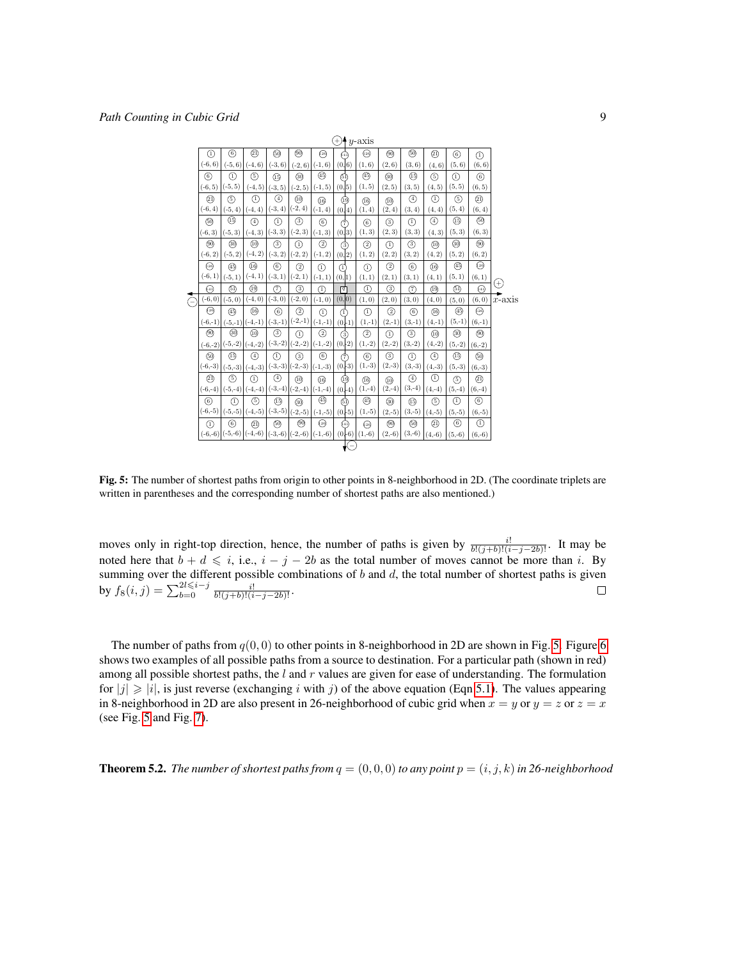

<span id="page-8-0"></span>Fig. 5: The number of shortest paths from origin to other points in 8-neighborhood in 2D. (The coordinate triplets are written in parentheses and the corresponding number of shortest paths are also mentioned.)

moves only in right-top direction, hence, the number of paths is given by  $\frac{i!}{b!(j+b)!(i-j-2b)!}$ . It may be noted here that  $b + d \leq i$ , i.e.,  $i - j - 2b$  as the total number of moves cannot be more than i. By summing over the different possible combinations of  $b$  and  $d$ , the total number of shortest paths is given by  $f_8(i,j) = \sum_{b=0}^{2l \leq i-j} \frac{i!}{b!(j+b)!(i-j-2b)!}$ .  $\Box$ 

The number of paths from  $q(0, 0)$  to other points in 8-neighborhood in 2D are shown in Fig. [5.](#page-8-0) Figure [6](#page-9-0) shows two examples of all possible paths from a source to destination. For a particular path (shown in red) among all possible shortest paths, the  $l$  and  $r$  values are given for ease of understanding. The formulation for  $|j| \geq |i|$ , is just reverse (exchanging i with j) of the above equation (Eqn [5.1\)](#page-7-2). The values appearing in 8-neighborhood in 2D are also present in 26-neighborhood of cubic grid when  $x = y$  or  $y = z$  or  $z = x$ (see Fig. [5](#page-8-0) and Fig. [7\)](#page-10-1).

**Theorem 5.2.** *The number of shortest paths from*  $q = (0, 0, 0)$  *to any point*  $p = (i, j, k)$  *in 26-neighborhood*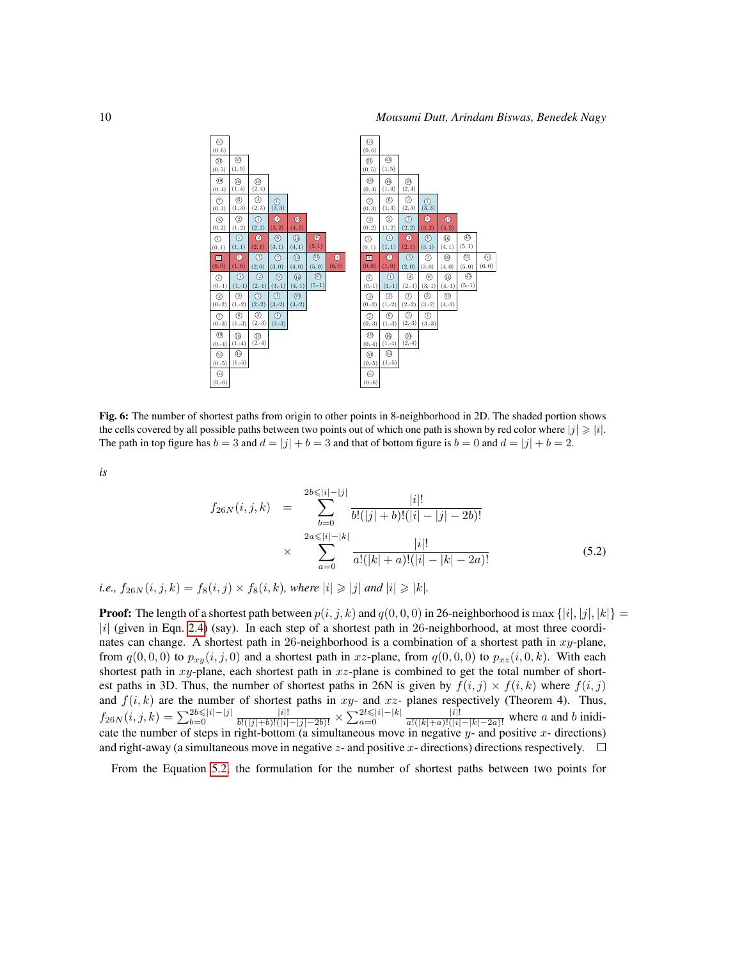

<span id="page-9-0"></span>Fig. 6: The number of shortest paths from origin to other points in 8-neighborhood in 2D. The shaded portion shows the cells covered by all possible paths between two points out of which one path is shown by red color where  $|j| \geq |i|$ . The path in top figure has  $b = 3$  and  $d = |j| + b = 3$  and that of bottom figure is  $b = 0$  and  $d = |j| + b = 2$ .

*is*

<span id="page-9-1"></span>
$$
f_{26N}(i,j,k) = \sum_{b=0}^{2b \leqslant |i|-|j|} \frac{|i|!}{b!(|j|+b)!(|i|-|j|-2b)!}
$$
  
 
$$
\times \sum_{a=0}^{2a \leqslant |i|-|k|} \frac{|i|!}{a!(|k|+a)!(|i|-|k|-2a)!}
$$
(5.2)

*i.e.,*  $f_{26N}(i, j, k) = f_8(i, j) \times f_8(i, k)$ *, where*  $|i| \geq |j|$  *and*  $|i| \geq |k|$ *.* 

**Proof:** The length of a shortest path between  $p(i, j, k)$  and  $q(0, 0, 0)$  in 26-neighborhood is max  $\{|i|, |j|, |k|\}$  =  $|i|$  (given in Eqn. [2.4\)](#page-3-3) (say). In each step of a shortest path in 26-neighborhood, at most three coordinates can change. A shortest path in 26-neighborhood is a combination of a shortest path in  $xy$ -plane, from  $q(0, 0, 0)$  to  $p_{xy}(i, j, 0)$  and a shortest path in xz-plane, from  $q(0, 0, 0)$  to  $p_{xz}(i, 0, k)$ . With each shortest path in  $xy$ -plane, each shortest path in  $xz$ -plane is combined to get the total number of shortest paths in 3D. Thus, the number of shortest paths in 26N is given by  $f(i, j) \times f(i, k)$  where  $f(i, j)$ and  $f(i, k)$  are the number of shortest paths in xy- and xz- planes respectively (Theorem 4). Thus,  $f_{26N}(i,j,k) = \sum_{b=0}^{2b \leq |i|-|j|} \frac{|i|!}{b!(|j|+b)!(|i|-|j|-2b)!} \times \sum_{a=0}^{2l \leq |i|-|k|} \frac{|i|!}{a!(|k|+a)!(|i|-|k|-2a)!}$  where a and b inidicate the number of steps in right-bottom (a simultaneous move in negative  $y$ - and positive  $x$ - directions) and right-away (a simultaneous move in negative z- and positive x- directions) directions respectively.  $\Box$ 

From the Equation [5.2,](#page-9-1) the formulation for the number of shortest paths between two points for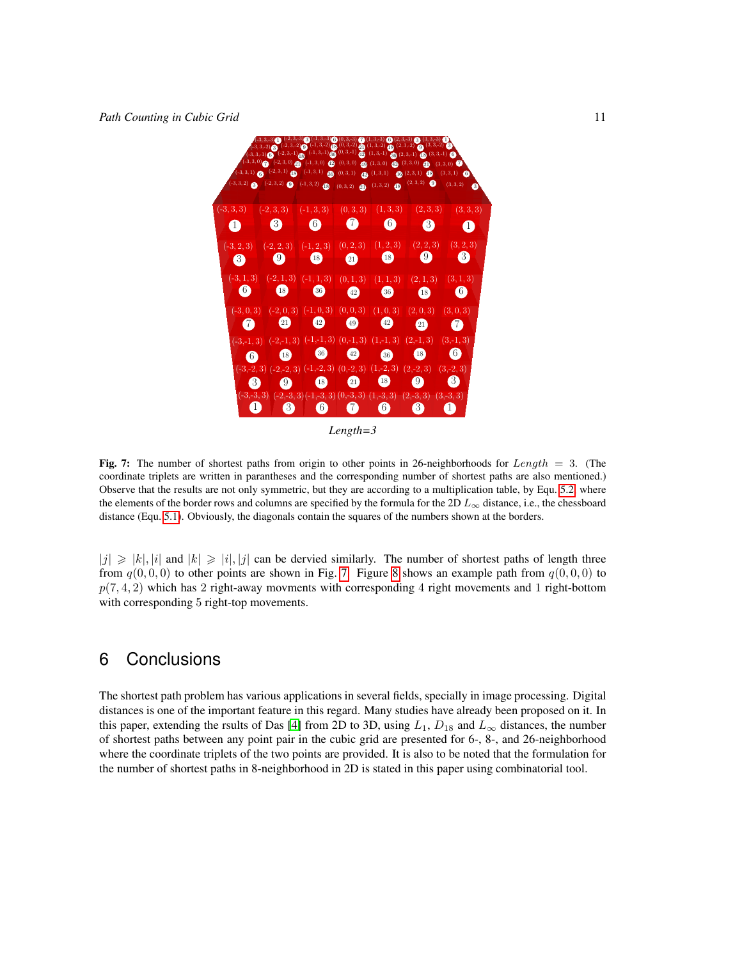

*Length=3*

<span id="page-10-1"></span>Fig. 7: The number of shortest paths from origin to other points in 26-neighborhoods for Length = 3. (The coordinate triplets are written in parantheses and the corresponding number of shortest paths are also mentioned.) Observe that the results are not only symmetric, but they are according to a multiplication table, by Equ. [5.2,](#page-9-1) where the elements of the border rows and columns are specified by the formula for the 2D  $L_{\infty}$  distance, i.e., the chessboard distance (Equ. [5.1\)](#page-7-2). Obviously, the diagonals contain the squares of the numbers shown at the borders.

 $|j| \geq |k|, |i|$  and  $|k| \geq |i|, |j|$  can be dervied similarly. The number of shortest paths of length three from  $q(0, 0, 0)$  to other points are shown in Fig. [7.](#page-10-1) Figure [8](#page-11-5) shows an example path from  $q(0, 0, 0)$  to  $p(7, 4, 2)$  which has 2 right-away movments with corresponding 4 right movements and 1 right-bottom with corresponding 5 right-top movements.

## <span id="page-10-0"></span>6 Conclusions

The shortest path problem has various applications in several fields, specially in image processing. Digital distances is one of the important feature in this regard. Many studies have already been proposed on it. In this paper, extending the rsults of Das [\[4\]](#page-11-3) from 2D to 3D, using  $L_1$ ,  $D_{18}$  and  $L_{\infty}$  distances, the number of shortest paths between any point pair in the cubic grid are presented for 6-, 8-, and 26-neighborhood where the coordinate triplets of the two points are provided. It is also to be noted that the formulation for the number of shortest paths in 8-neighborhood in 2D is stated in this paper using combinatorial tool.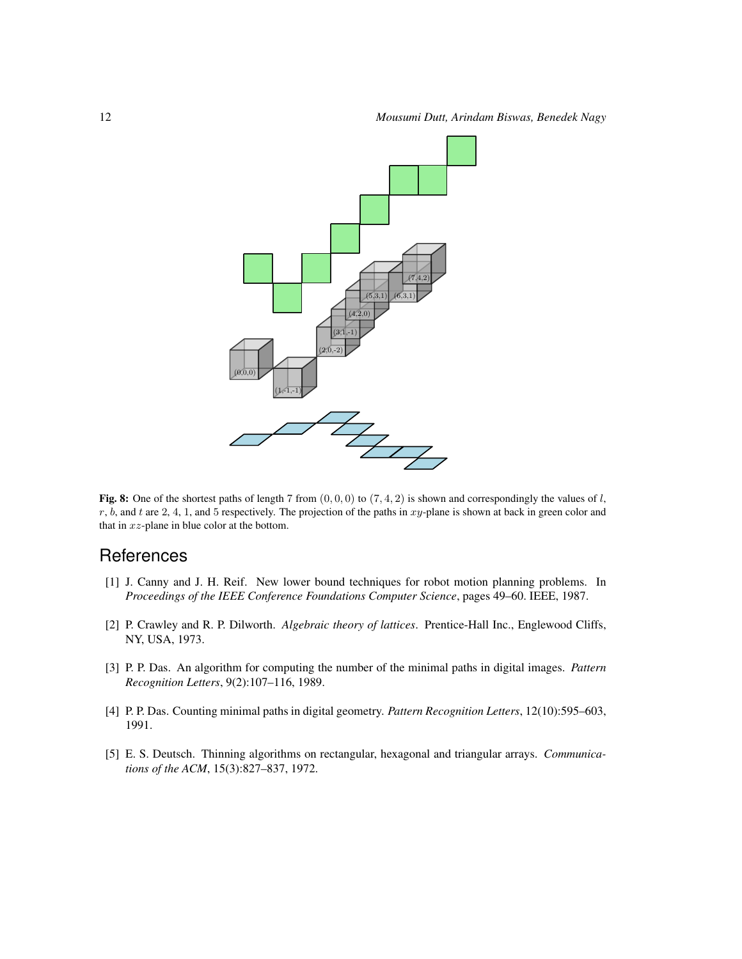

<span id="page-11-5"></span>Fig. 8: One of the shortest paths of length 7 from  $(0, 0, 0)$  to  $(7, 4, 2)$  is shown and correspondingly the values of l,  $r$ ,  $b$ , and  $t$  are 2, 4, 1, and 5 respectively. The projection of the paths in  $xy$ -plane is shown at back in green color and that in  $xz$ -plane in blue color at the bottom.

### **References**

- <span id="page-11-2"></span>[1] J. Canny and J. H. Reif. New lower bound techniques for robot motion planning problems. In *Proceedings of the IEEE Conference Foundations Computer Science*, pages 49–60. IEEE, 1987.
- <span id="page-11-0"></span>[2] P. Crawley and R. P. Dilworth. *Algebraic theory of lattices*. Prentice-Hall Inc., Englewood Cliffs, NY, USA, 1973.
- <span id="page-11-4"></span>[3] P. P. Das. An algorithm for computing the number of the minimal paths in digital images. *Pattern Recognition Letters*, 9(2):107–116, 1989.
- <span id="page-11-3"></span>[4] P. P. Das. Counting minimal paths in digital geometry. *Pattern Recognition Letters*, 12(10):595–603, 1991.
- <span id="page-11-1"></span>[5] E. S. Deutsch. Thinning algorithms on rectangular, hexagonal and triangular arrays. *Communications of the ACM*, 15(3):827–837, 1972.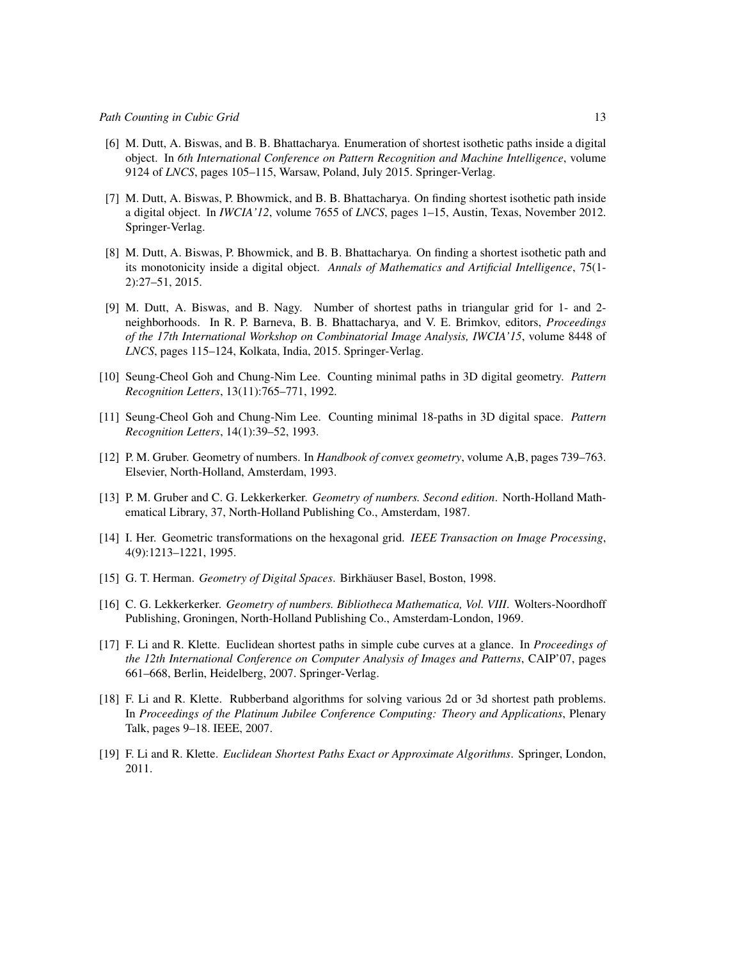- <span id="page-12-9"></span>[6] M. Dutt, A. Biswas, and B. B. Bhattacharya. Enumeration of shortest isothetic paths inside a digital object. In *6th International Conference on Pattern Recognition and Machine Intelligence*, volume 9124 of *LNCS*, pages 105–115, Warsaw, Poland, July 2015. Springer-Verlag.
- <span id="page-12-8"></span>[7] M. Dutt, A. Biswas, P. Bhowmick, and B. B. Bhattacharya. On finding shortest isothetic path inside a digital object. In *IWCIA'12*, volume 7655 of *LNCS*, pages 1–15, Austin, Texas, November 2012. Springer-Verlag.
- <span id="page-12-7"></span>[8] M. Dutt, A. Biswas, P. Bhowmick, and B. B. Bhattacharya. On finding a shortest isothetic path and its monotonicity inside a digital object. *Annals of Mathematics and Artificial Intelligence*, 75(1- 2):27–51, 2015.
- <span id="page-12-10"></span>[9] M. Dutt, A. Biswas, and B. Nagy. Number of shortest paths in triangular grid for 1- and 2 neighborhoods. In R. P. Barneva, B. B. Bhattacharya, and V. E. Brimkov, editors, *Proceedings of the 17th International Workshop on Combinatorial Image Analysis, IWCIA'15*, volume 8448 of *LNCS*, pages 115–124, Kolkata, India, 2015. Springer-Verlag.
- <span id="page-12-11"></span>[10] Seung-Cheol Goh and Chung-Nim Lee. Counting minimal paths in 3D digital geometry. *Pattern Recognition Letters*, 13(11):765–771, 1992.
- <span id="page-12-12"></span>[11] Seung-Cheol Goh and Chung-Nim Lee. Counting minimal 18-paths in 3D digital space. *Pattern Recognition Letters*, 14(1):39–52, 1993.
- <span id="page-12-0"></span>[12] P. M. Gruber. Geometry of numbers. In *Handbook of convex geometry*, volume A,B, pages 739–763. Elsevier, North-Holland, Amsterdam, 1993.
- <span id="page-12-1"></span>[13] P. M. Gruber and C. G. Lekkerkerker. *Geometry of numbers. Second edition*. North-Holland Mathematical Library, 37, North-Holland Publishing Co., Amsterdam, 1987.
- <span id="page-12-3"></span>[14] I. Her. Geometric transformations on the hexagonal grid. *IEEE Transaction on Image Processing*, 4(9):1213–1221, 1995.
- <span id="page-12-13"></span>[15] G. T. Herman. *Geometry of Digital Spaces*. Birkhäuser Basel, Boston, 1998.
- <span id="page-12-2"></span>[16] C. G. Lekkerkerker. *Geometry of numbers. Bibliotheca Mathematica, Vol. VIII*. Wolters-Noordhoff Publishing, Groningen, North-Holland Publishing Co., Amsterdam-London, 1969.
- <span id="page-12-4"></span>[17] F. Li and R. Klette. Euclidean shortest paths in simple cube curves at a glance. In *Proceedings of the 12th International Conference on Computer Analysis of Images and Patterns*, CAIP'07, pages 661–668, Berlin, Heidelberg, 2007. Springer-Verlag.
- <span id="page-12-5"></span>[18] F. Li and R. Klette. Rubberband algorithms for solving various 2d or 3d shortest path problems. In *Proceedings of the Platinum Jubilee Conference Computing: Theory and Applications*, Plenary Talk, pages 9–18. IEEE, 2007.
- <span id="page-12-6"></span>[19] F. Li and R. Klette. *Euclidean Shortest Paths Exact or Approximate Algorithms*. Springer, London, 2011.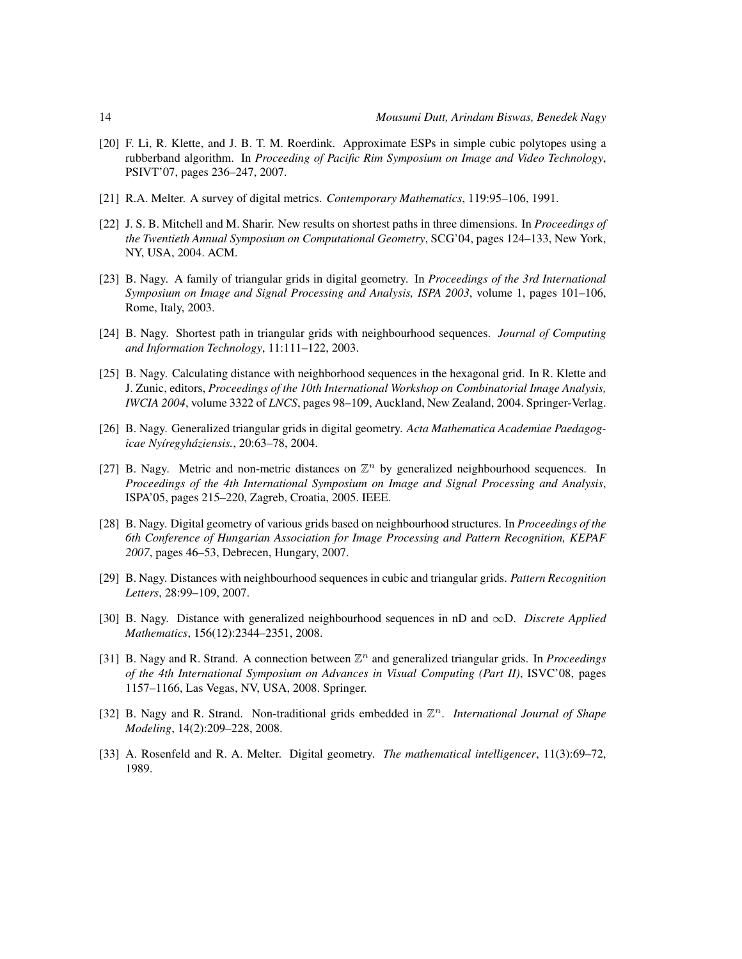- <span id="page-13-10"></span>[20] F. Li, R. Klette, and J. B. T. M. Roerdink. Approximate ESPs in simple cubic polytopes using a rubberband algorithm. In *Proceeding of Pacific Rim Symposium on Image and Video Technology*, PSIVT'07, pages 236–247, 2007.
- <span id="page-13-0"></span>[21] R.A. Melter. A survey of digital metrics. *Contemporary Mathematics*, 119:95–106, 1991.
- <span id="page-13-11"></span>[22] J. S. B. Mitchell and M. Sharir. New results on shortest paths in three dimensions. In *Proceedings of the Twentieth Annual Symposium on Computational Geometry*, SCG'04, pages 124–133, New York, NY, USA, 2004. ACM.
- <span id="page-13-4"></span>[23] B. Nagy. A family of triangular grids in digital geometry. In *Proceedings of the 3rd International Symposium on Image and Signal Processing and Analysis, ISPA 2003*, volume 1, pages 101–106, Rome, Italy, 2003.
- <span id="page-13-6"></span>[24] B. Nagy. Shortest path in triangular grids with neighbourhood sequences. *Journal of Computing and Information Technology*, 11:111–122, 2003.
- <span id="page-13-7"></span>[25] B. Nagy. Calculating distance with neighborhood sequences in the hexagonal grid. In R. Klette and J. Zunic, editors, *Proceedings of the 10th International Workshop on Combinatorial Image Analysis, IWCIA 2004*, volume 3322 of *LNCS*, pages 98–109, Auckland, New Zealand, 2004. Springer-Verlag.
- <span id="page-13-5"></span>[26] B. Nagy. Generalized triangular grids in digital geometry. *Acta Mathematica Academiae Paedagogicae Ny´ıregyhaziensis. ´* , 20:63–78, 2004.
- <span id="page-13-12"></span>[27] B. Nagy. Metric and non-metric distances on  $\mathbb{Z}^n$  by generalized neighbourhood sequences. In *Proceedings of the 4th International Symposium on Image and Signal Processing and Analysis*, ISPA'05, pages 215–220, Zagreb, Croatia, 2005. IEEE.
- <span id="page-13-8"></span>[28] B. Nagy. Digital geometry of various grids based on neighbourhood structures. In *Proceedings of the 6th Conference of Hungarian Association for Image Processing and Pattern Recognition, KEPAF 2007*, pages 46–53, Debrecen, Hungary, 2007.
- <span id="page-13-9"></span>[29] B. Nagy. Distances with neighbourhood sequences in cubic and triangular grids. *Pattern Recognition Letters*, 28:99–109, 2007.
- <span id="page-13-13"></span>[30] B. Nagy. Distance with generalized neighbourhood sequences in nD and ∞D. *Discrete Applied Mathematics*, 156(12):2344–2351, 2008.
- <span id="page-13-3"></span>[31] B. Nagy and R. Strand. A connection between  $\mathbb{Z}^n$  and generalized triangular grids. In *Proceedings of the 4th International Symposium on Advances in Visual Computing (Part II)*, ISVC'08, pages 1157–1166, Las Vegas, NV, USA, 2008. Springer.
- <span id="page-13-2"></span>[32] B. Nagy and R. Strand. Non-traditional grids embedded in  $\mathbb{Z}^n$ . *International Journal of Shape Modeling*, 14(2):209–228, 2008.
- <span id="page-13-1"></span>[33] A. Rosenfeld and R. A. Melter. Digital geometry. *The mathematical intelligencer*, 11(3):69–72, 1989.